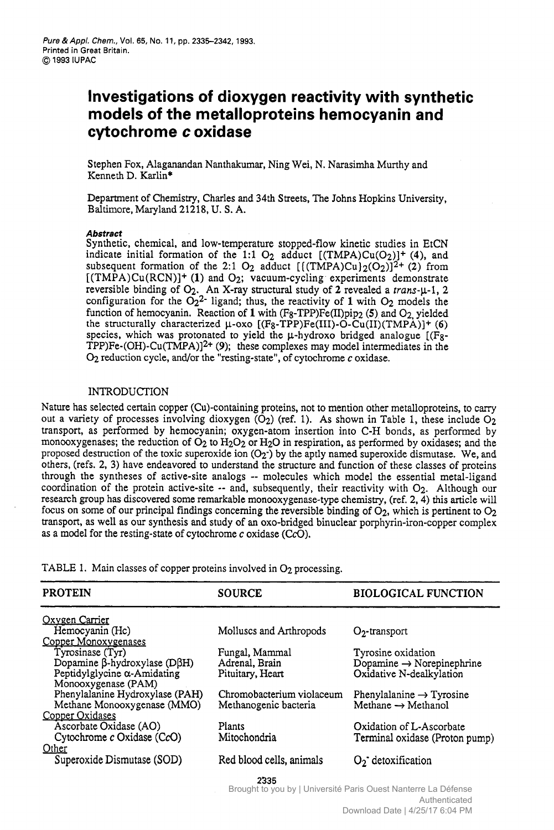# **Investigations of dioxygen reactivity with synthetic models of the metalloproteins hemocyanin and cytochrome**  <sup>p. 2335–2342, 1993.<br>**ns of dioxygen reactivity with synthetic<br>e metalloproteins hemocyanin and<br>c <b>oxidase**<br><sub>ndan Nanthakumar, Ning Wei, N. Narasimha Murthy and</sup></sub>

Stephen Fox, Alaganandan Nanthakumar, Ning Kenneth D. Karlin\*

Department of Chemistry, Charles and 34th Streets, The Johns Hopkins University, Baltimore, Maryland 21218, U. **S.** A.

## **Abstract**

Synthetic, chemical, and low-temperature stopped-flow kinetic studies in EtCN indicate initial formation of the 1:1  $O_2$  adduct  $[(TMPA)Cu(O_2)]^+$  (4), and subsequent formation of the 2:1 O<sub>2</sub> adduct  $[(\text{TMPA})Cu](O_2)]^{2+}$  (2) from  $[(\text{TMPA})Cu(\text{RCN})]+$  (1) and O<sub>2</sub>; vacuum-cycling experiments demonstrate Department of Chemistry, Charles and 34th Streets, The Johns Hopkins University,<br>Baltimore, Maryland 21218, U.S. A.<br>Abstract<br>Synthetic, chemical, and low-temperature stopped-flow kinetic studies in EtCN<br>indicate initial f **Example 12.12.18, 0.3. A.**<br> **Abstract**<br>
Synthetic, chemical, and low-temperature stopped-flow kinetic studies in EtCN<br>
indicate initial formation of the 1:1 O<sub>2</sub> adduct  $[(\text{TMPA})CuQ_2)]^2 + (4)$ , and<br>
subsequent formation of reversible binding of  $Q_2$ . An X-ray structural study of 2 revealed a *trans*- $\mu$ -1, 2 configuration for the  $Q_2^2$ - ligand; thus, the reactivity of 1 with  $Q_2$  models the function of hemocyanin. Reaction of **1** with (Fg-TPP)Fe(II)pip2 **(5)** and 02, yielded the structurally characterized  $\mu$ -oxo  $[(F_8-TPP)Fe(III)-O-Cu(II)(TMPA)]+(6)$ species, which was protonated to yield the  $\mu$ -hydroxo bridged analogue  $[(Fg -$ TPP)Fe- $(OH)$ -Cu(TMPA)]<sup>2+</sup> (9); these complexes may model intermediates **OZ** reduction cycle, and/or the "resting-state", of cytochrome c oxidase. in the strate<br> **1-1**, 2<br>
is the indeed<br>  $\left[\frac{1}{5}\right]$ <br>  $\left[\frac{1}{5}\right]$ <br>
in the

#### INTRODUCTION

Nature has selected certain copper (Cu)-containing proteins, not to mention other metalloproteins, to carry out a variety of processes involving dioxygen  $\overline{O_2}$ ) (ref. 1). As shown in Table 1, these include  $O_2$ transport, as performed by hernocyanin; oxygen-atom insertion into C-H bonds, as performed by monooxygenases; the reduction of  $O_2$  to  $H_2O_2$  or  $H_2O$  in respiration, as performed by oxidases; and the proposed destruction of the toxic superoxide ion  $(O_2)$  by the aptly named superoxide dismutase. We, and others, (refs. 2, **3)** have endeavored to understand the structure and function of these classes of proteins through the syntheses of active-site analogs -- molecules which model the essential metal-ligand coordination of the protein active-site -- and, subsequently, their reactivity with 02. Although our research group has discovered some remarkable monooxygenase-type chemistry, (ref. 2,4) this article will focus on some of our principal findings concerning the reversible binding of  $\dot{O}_2$ , which is pertinent to  $O_2$ transport, as well as our synthesis and study of an 0x0-bridged binuclear porphyrin-iron-copper complex **as** a model for the resting-state of cytochrome c oxidase (CcO).

TABLE 1. Main classes of copper proteins involved in O<sub>2</sub> processing.

| <b>PROTEIN</b>                              | <b>SOURCE</b>             | <b>BIOLOGICAL FUNCTION</b>            |
|---------------------------------------------|---------------------------|---------------------------------------|
| Oxygen Carrier                              |                           |                                       |
| Hemocyanin (Hc)                             | Molluscs and Arthropods   | $O2$ -transport                       |
| Copper Monoxygenases                        |                           |                                       |
| Tyrosinase (Tyr)                            | Fungal, Mammal            | Tyrosine oxidation                    |
| Dopamine $\beta$ -hydroxylase (D $\beta$ H) | Adrenal, Brain            | Dopamine $\rightarrow$ Norepinephrine |
| Peptidylglycine a-Amidating                 | Pituitary, Heart          | Oxidative N-dealkylation              |
| Monooxygenase (PAM)                         |                           |                                       |
| Phenylalanine Hydroxylase (PAH)             | Chromobacterium violaceum | Phenylalanine $\rightarrow$ Tyrosine  |
| Methane Monooxygenase (MMO)                 | Methanogenic bacteria     | Methane $\rightarrow$ Methanol        |
| Copper Oxidases                             |                           |                                       |
| Ascorbate Oxidase (AO)                      | Plants                    | Oxidation of L-Ascorbate              |
| Cytochrome c Oxidase (CcO)                  | Mitochondria              | Terminal oxidase (Proton pump)        |
| Other                                       |                           |                                       |
| Superoxide Dismutase (SOD)                  | Red blood cells, animals  | $O_2$ detoxification                  |
|                                             | 2335                      |                                       |

Brought to you by | Université Paris Ouest Nanterre La Défense Authenticated Download Date | 4/25/17 6:04 PM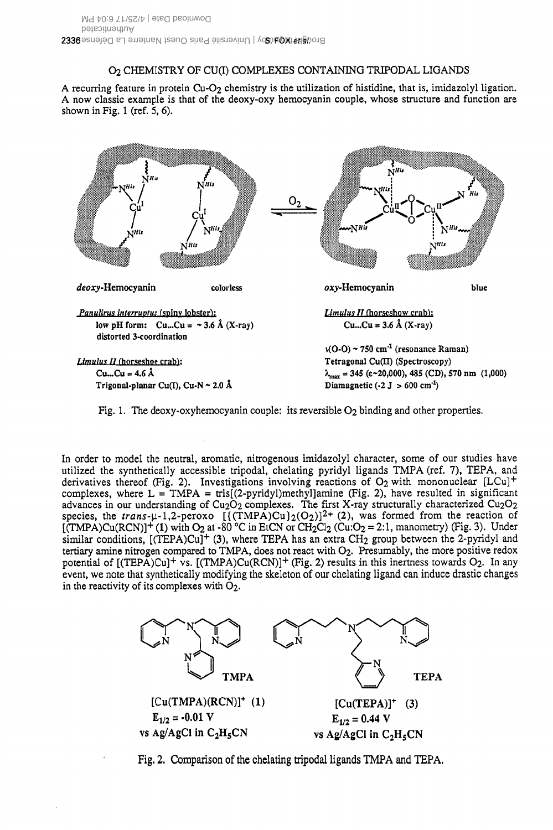# O<sub>2</sub> CHEMISTRY OF CU(I) COMPLEXES CONTAINING TRIPODAL LIGANDS

A recurring feature in protein  $Cu-O<sub>2</sub>$  chemistry is the utilization of histidine, that is, imidazolyl ligation. A now classic example is that of the deoxy-oxy hemocyanin couple, whose structure and function are shown in Fig. 1 (ref.  $5, 6$ ).



Fig. 1. The deoxy-oxyhemocyanin couple: its reversible  $O<sub>2</sub>$  binding and other properties.

In order to model the neutral, aromatic, nitrogenous imidazolyl character, some of our studies have utilized the synthetically accessible tripodal, chelating pyridyl ligands TMPA (ref. 7), TEPA, and derivatives thereof (Fig. 2). Investigations involving reactions of O<sub>2</sub> with mononuclear [LCu]<sup>+</sup> complexes, where  $L = TMPA = tris[(2-pyridy])methyl]amine$  (Fig. 2), have resulted in significant advances in our understanding of Cu<sub>2</sub>O<sub>2</sub> complexes. The first X-ray structurally characterized Cu<sub>2</sub>O<sub>2</sub> species, the trans- $\mu$ -1,2-peroxo  $[(\text{T}MPA)Cu)_2(O_2)]^{2+}$  (2), was formed from the reaction of  $[\hat{(TMPA})Cu(RCN)]^+$  (1) with O<sub>2</sub> at -80 °C in EtCN or CH<sub>2</sub>Cl<sub>2</sub> (Cu:O<sub>2</sub> = 2:1, manometry) (Fig. 3). Under similar conditions,  $[(TEPA)Cu]^{+}(3)$ , where TEPA has an extra CH<sub>2</sub> group between the 2-pyridyl and tertiary amine nitrogen compared to TMPA, does not react with O2. Presumably, the more positive redox potential of [(TEPA)Cu]<sup>+</sup> vs. [(TMPA)Cu(RCN)]<sup>+</sup> (Fig. 2) results in this inertness towards O<sub>2</sub>. In any event, we note that synthetically modifying the skeleton of our chelating ligand can induce drastic changes in the reactivity of its complexes with  $O_2$ .



Fig. 2. Comparison of the chelating tripodal ligands TMPA and TEPA.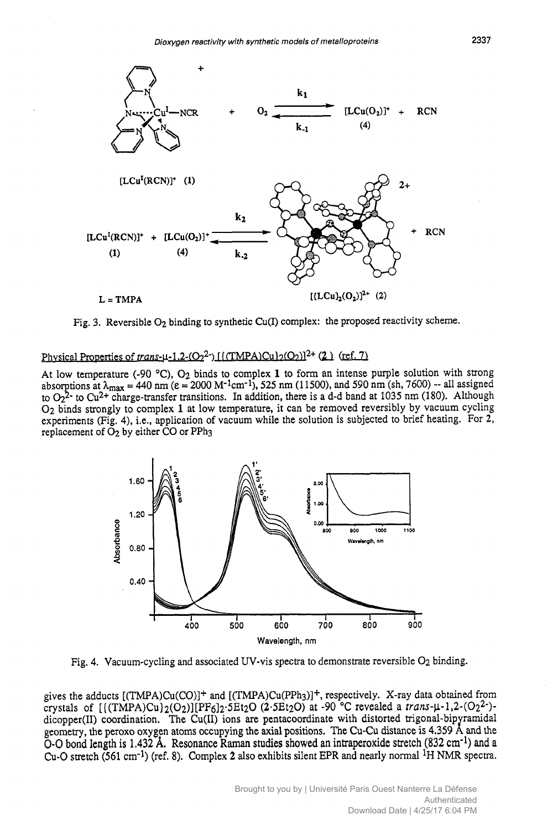

At low temperature (-90 "C), **02** binds to complex **1** to form an intense purple solution with strong experiments (Fig. 4), *i.e.*, application of vacuum while the solution is subjected to brief heating. For 2, 02 binds strongly to complex **1**  at low temperature, it can be removed reversibly by vacuum cycling absorptions at  $\lambda_{\text{max}} = 440 \text{ nm}$  ( $\varepsilon = 2000 \text{ M}^{-1} \text{cm}^{-1}$ ), 525 nm (11500), and 590 nm (sh, 7600) -- all assigned Reversible O<sub>2</sub> binding to synthetic Cu(I) complex: the proposed reactivity scheme.<br> *inties of trans-µ-1.2-(O<sub>2</sub><sup>2</sup>-)* [*f*(TMPA)Cu}<sub>2</sub>(O<sub>2</sub>)]<sup>2+</sup> (2) (ref. 7)<br> *rature* (-90 °C), O<sub>2</sub> binds to complex 1 to form an inten Fible O<sub>2</sub> binding to synthetic Cu(I) complex: the proposed reactivity scheme.<br>
So f trans- $\mu$ -1.2-(O<sub>2</sub><sup>2</sup>). [{(TMPA)Cu}<sub>2</sub>(O<sub>2</sub>)]<sup>2+</sup> (2) (ref. 7)<br>  $\mu$  (-90 °C), O<sub>2</sub> binds to complex 1 to form an intense purple solut replacement of **02** by either CO or PPh3 to  $O_2^2$ <sup>-</sup> to Cu<sup>2+</sup> charge-transfer transitions. In addition, there is a d-d band at 1035 nm (180). Although



Fig. **4.** Vacuum-cycling and associated UV-vis spectra to demonstrate reversible **02** binding.

gives the adducts  $[(TMPA)Cu(CO)]^+$  and  $[(TMPA)Cu(PPh<sub>3</sub>)]^+$ , respectively. X-ray data obtained from crystals of  $[(TMPA)Cu)_2(O_2)][PF<sub>6</sub>]_2 \cdot SEt<sub>2</sub>O (2 \cdot SEt<sub>2</sub>O)$  at -90 °C revealed a *trans*- $\mu$ -1,2- $(O_2^2)$ -Wavelength, nm<br>Fig. 4. Vacuum-cycling and associated UV-vis spectra to demonstrate reversible O<sub>2</sub> binding.<br>gives the adducts [(TMPA)Cu(CO)]<sup>+</sup> and [(TMPA)Cu(PPh<sub>3</sub>)]<sup>+</sup>, respectively. X-ray data obtained from<br>crystals of dicopper(II) coordination. The Cu(II) ions are pentacoordinate with distorted trigonal-bipyramidal geometry, the peroxo oxygen atoms occupying the axial positions. The CU-cu distance is **4.359** A: and the **0-0 bond length is 1,432 A. Resonance Raman studies showed an intraperoxide stretch (832** cm-1) **and <sup>a</sup>** Cu-0 stretch **(561** cm-1) (ref. 8). Complex **2** also exhibits silent **EPR** and nearly normal **IH NMR** spectra.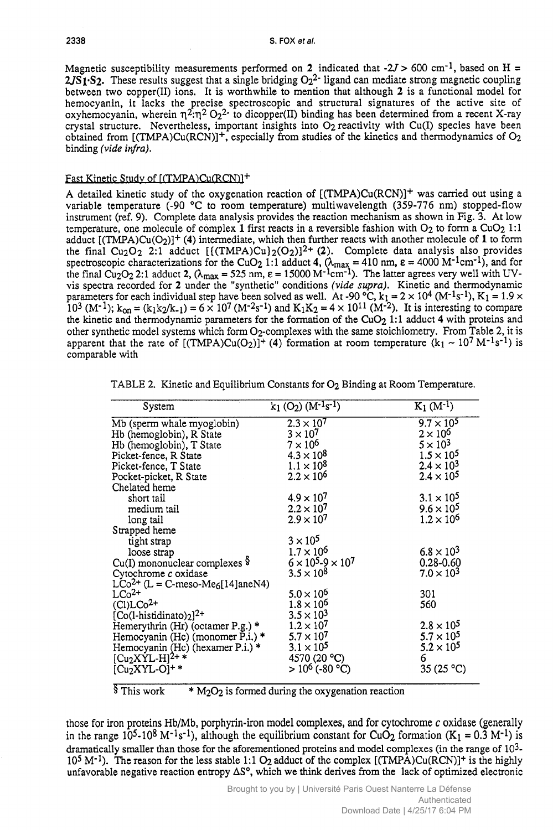Magnetic susceptibility measurements performed on 2 indicated that  $-2J > 600$  cm<sup>-1</sup>, based on H = 2338<br>S. FOX et al.<br>Magnetic susceptibility measurements performed on 2 indicated that  $-2J > 600$  cm<sup>-1</sup>, based on H =<br>2JS1.S2. These results suggest that a single bridging O<sub>2</sub><sup>2</sup>- ligand can mediate strong magnetic coupl indicated that  $-2J > 600 \text{ cm}^{-1}$ , based on **H** = ligand can mediate strong magnetic coupling on that although 2 is a functional model for  $2JST<sub>1</sub>$ . These results suggest that a single bridging  $O<sub>2</sub><sup>2</sup>$ - ligand can mediate strong magnetic coupling between two copper(I1) ions. It is worthwhile to mention that although **2** is a functional model for hemocyanin, it lacks the precise spectroscopic and structural signatures of the active site of oxyhemocyanin, wherein  $\eta^2 \cdot \eta^2 O_2^2$  to dicopper(II) binding has been determined from a recent X-ray crystal structure. Nevertheless, important insights into  $O<sub>2</sub>$  reactivity with Cu(I) species have been obtained from  $[(TMPA)Cu(RCN)]^+$ , especially from studies of the kinetics and thermodynamics of O<sub>2</sub> binding the susceptionity ineasurements performed on 2 intriducted that  $-2y > 000$  cm<sup>-1</sup>, based on  $H = 2JS$ . These results suggest that a single bridging  $O_2^2$ - ligand can mediate strong magnetic coupling between two co

#### Fast Kinetic Study of [(TMPA)Cu(RCN)]<sup>+</sup>

A detailed kinetic study of the oxygenation reaction of  $[(TMPA)Cu(RCN)]^+$  was carried out using a variable temperature  $(-90 \degree C$  to room temperature) multiwavelength (359-776 nm) stopped-flow instrument (ref. 9). Complete data analysis provides the reaction mechanism as shown in Fig. **3.** At low temperature, one molecule of complex 1 first reacts in a reversible fashion with  $O_2$  to form a CuO<sub>2</sub> 1:1 adduct [(TMPA)Cu(O2)]+ **(4)** intermediate, which then further reacts with another molecule of **1** to form the final Cu<sub>2</sub>O<sub>2</sub> 2:1 adduct  $[(\text{TMPA})\text{Cu}]_2(\text{O}_2)]^2$  (2). Complete data analysis also provides spectroscopic characterizations for the CuO<sub>2</sub> 1:1 adduct 4,  $(\lambda_{\text{max}} = 410 \text{ nm}, \varepsilon = 4000 \text{ M}^{-1} \text{cm}^{-1})$ , and for parameters for each individual step have been solved as well. At -90 °C,  $k_1 = 2 \times 10^4$  (M<sup>-1</sup>s<sup>-1</sup>), K<sub>1</sub> = 1.9 vis spectra recorded for 2 under the "synthetic" conditions (vide supra). Kinetic and thermodynamic the final  $\text{Cu}_2\text{O}_2$  2:1 adduct 2,  $(\lambda_{\text{max}} = 525 \text{ nm}, \varepsilon = 15000 \text{ M}^{-1} \text{cm}^{-1})$ . The latter agrees very well with *u*<br> *I*<br> *D*<br> *UV-*<br> *DV-*<br> *DV-*<br> *NV*<br> *DV-*<br> *DX* 10<sup>3</sup> (M<sup>-1</sup>);  $k_{on} = (k_1k_2/k_{-1}) = 6 \times 10^7 (M^{-2}s^{-1})$  and  $K_1K_2 = 4 \times 10^{11} (M^{-2})$ . It is interesting to compare the kinetic and thermodynamic parameters for the formation of the Cu02 1:l adduct **4** with proteins and other synthetic model systems which form 02-complexes with the same stoichiometry. From Table 2, it is apparent that the rate of  $[(TMPA)Cu(O<sub>2</sub>)]$ <sup>+</sup> (4) formation at room temperature  $(k_1 \sim 10^7 M^{-1}s^{-1})$  is comparable with

|  | TABLE 2. Kinetic and Equilibrium Constants for $O_2$ Binding at Room Temperature. |  |  |  |
|--|-----------------------------------------------------------------------------------|--|--|--|
|--|-----------------------------------------------------------------------------------|--|--|--|

| System                                                                                                                                                                                                                                                                                                                                      | $k_1$ (O <sub>2</sub> ) (M <sup>-1</sup> s <sup>-1</sup> )                                         | $K_1(M^{-1})$                                 |
|---------------------------------------------------------------------------------------------------------------------------------------------------------------------------------------------------------------------------------------------------------------------------------------------------------------------------------------------|----------------------------------------------------------------------------------------------------|-----------------------------------------------|
| Mb (sperm whale myoglobin)<br>Hb (hemoglobin), R State<br>Hb (hemoglobin), T State<br>Picket-fence, R State<br>Picket-fence, T State<br>Picket-fence, T State<br>Picket-picket, R State<br>Chelated heme<br>short tail<br>medium tail<br>long tai                                                                                           | $2.3 \times 10^7$<br>$3 \times 10^7$<br>$7 \times 10^6$<br>$4.3 \times 10^8$                       | $9.7 \times 10^5$                             |
|                                                                                                                                                                                                                                                                                                                                             |                                                                                                    |                                               |
|                                                                                                                                                                                                                                                                                                                                             |                                                                                                    |                                               |
|                                                                                                                                                                                                                                                                                                                                             |                                                                                                    |                                               |
|                                                                                                                                                                                                                                                                                                                                             | $1.1 \times 10^8$<br>$2.2 \times 10^6$                                                             | $2.4\times10$<br>$2.4\times10^{3}$            |
|                                                                                                                                                                                                                                                                                                                                             |                                                                                                    |                                               |
|                                                                                                                                                                                                                                                                                                                                             |                                                                                                    | $3.1 \times 10^{5}$                           |
|                                                                                                                                                                                                                                                                                                                                             |                                                                                                    | $9.6 \times 10$                               |
|                                                                                                                                                                                                                                                                                                                                             | $4.9 \times 10^7$<br>$2.2 \times 10^7$<br>$2.9 \times 10^7$                                        | $1.2 \times 10^{6}$                           |
|                                                                                                                                                                                                                                                                                                                                             |                                                                                                    |                                               |
|                                                                                                                                                                                                                                                                                                                                             | $3 \times 10^5$<br>$1.7 \times 10^6$<br>$6 \times 10^5.9 \times 10^7$<br>$3.5 \times 10^8$         |                                               |
|                                                                                                                                                                                                                                                                                                                                             |                                                                                                    | $6.8 \times 10^{3}$                           |
|                                                                                                                                                                                                                                                                                                                                             |                                                                                                    | $0.28 - 0.60$<br>7.0 $\times$ 10 <sup>3</sup> |
|                                                                                                                                                                                                                                                                                                                                             |                                                                                                    |                                               |
|                                                                                                                                                                                                                                                                                                                                             |                                                                                                    |                                               |
|                                                                                                                                                                                                                                                                                                                                             | $5.0 \times 10^6$<br>$1.8 \times 10^6$<br>$3.5 \times 10^3$                                        |                                               |
| LCo <sup>2+</sup><br>Co <sub>2</sub> +<br>(C)LCo <sup>2+</sup><br>(C)LCo <sup>2+</sup><br>(Co(l-histidinato) <sub>2</sub> ) <sup>2+</sup><br>Hemerythrin (Hr) (octamer P.g.) *<br>Hemocyanin (Hc) (monomer P.i.) *<br>Hemocyanin (Hc) (hexamer P.i.) *<br>[Cu <sub>2</sub> XYL-H] <sup>2+</sup> *<br>[Cu <sub>2</sub> XYL-O] <sup>+ *</sup> |                                                                                                    |                                               |
|                                                                                                                                                                                                                                                                                                                                             |                                                                                                    | $2.8 \times 10^{4}$                           |
|                                                                                                                                                                                                                                                                                                                                             |                                                                                                    | $5.7 \times 10^5$                             |
|                                                                                                                                                                                                                                                                                                                                             | $1.2 \times 10^7$<br>$5.7 \times 10^7$<br>$3.1 \times 10^5$<br>$4570 (20 °C)$<br>$> 10^6 (-80 °C)$ | $5.2 \times 10^5$                             |
|                                                                                                                                                                                                                                                                                                                                             |                                                                                                    |                                               |
|                                                                                                                                                                                                                                                                                                                                             |                                                                                                    | 35(25 °C)                                     |

 $\frac{1}{3}$  This work  $\cdot$  M<sub>2</sub>O<sub>2</sub> is formed during the oxygenation reaction

those for iron proteins Hb/Mb, porphyrin-iron model complexes, and for cytochrome c oxidase (generally in the range  $10^5$ -108 M<sup>-1</sup>s<sup>-1</sup>), although the equilibrium constant for CuO<sub>2</sub> formation (K<sub>1</sub> = 0.3 M<sup>-1</sup>) is dramatically smaller than those for the aforementioned proteins and model complexes (in the range of  $10<sup>3</sup>$ - $10^5$  M<sup>-1</sup>). The reason for the less stable 1:1 O<sub>2</sub> adduct of the complex  $[(\text{TMPA})\text{Cu}(\text{RCN})]^+$  is the highly unfavorable negative reaction entropy  $\Delta S^{\circ}$ , which we think derives from the lack of optimized electronic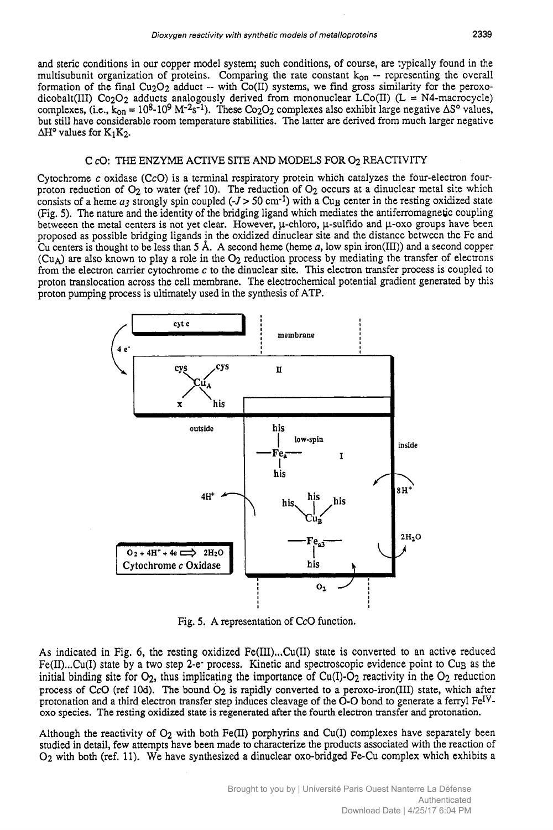and steric conditions in our copper model system; such conditions, of course, are typically found in the Dioxygen reactivity with synthetic models of metalloproteins 2339<br>and steric conditions in our copper model system; such conditions, of course, are typically found in the<br>multisubunit organization of proteins. Comparing t formation of the final  $Cu<sub>2</sub>O<sub>2</sub>$  adduct -- with  $Co(II)$  systems, we find gross similarity for the peroxodicobalt(III) Co<sub>2</sub>O<sub>2</sub> adducts analogously derived from mononuclear LCo(II) (L = N4-macrocycle) complexes, (i.e.,  $k_{0n} = 10^8 \text{--}10^9 \text{ M}^{-2}\text{s}^{-1}$ ). These Co<sub>2</sub>O<sub>2</sub> complexes also exhibit large negative  $\Delta S^{\circ}$  val Dioxygen reactivity with synthetic models of metalloproteins 2339<br>and steric conditions in our copper model system; such conditions, of course, are typically found in the<br>multisubunit organization of proteins. Comparing t but still have considerable room temperature stabilities.  $\Delta H^{\circ}$  values for K<sub>1</sub>K<sub>2</sub>. conditions, of course, are typically found in the<br>e rate constant  $k_{on}$  -- representing the overall<br>stems, we find gross similarity for the peroxo-<br>m mononuclear LCo(II) (L = N4-macrocycle)<br>omplexes also exhibit large ne

#### **C d3:** THE **ENZYME** ACTIVE SITE AND MODELS **FOR** 02 REACTIVI'IY

Cytochrome c oxidase (CcO) is a terminal respiratory protein which catalyzes the four-electron fourproton reduction of  $O_2$  to water (ref 10). The reduction of  $O_2$  occurs at a dinuclear metal site which consists of a heme  $a_3$  strongly spin coupled (- $J > 50$  cm<sup>-1</sup>) with a Cu<sub>B</sub> center in the resting oxidized state Consisted a heme *z* of a heme *z* and *as terminal restantions.* The faiter are derived from indefitage inegative  $\Delta H^{\circ}$  values for K<sub>1</sub>K<sub>2</sub>.<br>C *c*O: THE ENZYME ACTIVE SITE AND MODELS FOR O<sub>2</sub> REACTIVITY<br>Cytochrome *c* (Fig. **5).** The nature and the identity of the bridging ligand which mediates the antiferromagnetic coupling betweeen the metal centers is not yet clear. However,  $\mu$ -chloro,  $\mu$ -sulfido and  $\mu$ -oxo groups have been proposed as possible bridging ligands in the oxidized dinuclear site and the distance between the Fe and **Cu** centers is thought to be less than **5 A.** A second heme (heme **a,** low spin iron(1II)) and a second copper  $(Cu_A)$  are also known to play a role in the  $O_2$  reduction process by mediating the transfer of electrons from the electron carrier cytochrome c to the dinuclear site. This electron transfer process is coupled to proton translocation across the cell membrane. The electrochemical potential gradient generated by this proton pumping process is ultimately used in the synthesis of ATP.



Fig. **5.** A representation of CcO function.

As indicated in Fig. 6, the resting oxidized Fe(II1) ... Cu(I1) state is converted to an active reduced Fe(II)...Cu(I) state by a two step 2-e- process. Kinetic and spectroscopic evidence point to Cu<sub>B</sub> as the initial binding site for  $O_2$ , thus implicating the importance of Cu(I)- $O_2$  reactivity in the  $O_2$  reduction process of CcO (ref 10d). The bound  $O_2$  is rapidly converted to a peroxo-iron(III) state, which after protonation and a third electron transfer step induces cleavage of the O-O bond to generate a ferryl Fe<sup>IV</sup>-**0x0** species. The resting oxidized state is regenerated after the fourth electron transfer and protonation.

Although the reactivity of  $O_2$  with both Fe(II) porphyrins and Cu(I) complexes have separately been **studied** in detail, few attempts have been made to characterize the products associated with the reaction of 02 with both (ref. 11). We have synthesized a dinuclear 0x0-bridged Fe-Cu complex which exhibits a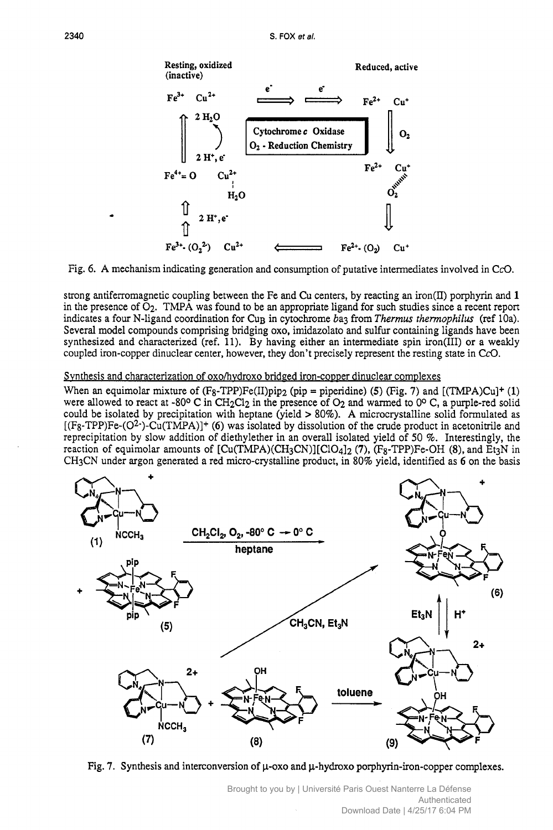

Fig. 6. A mechanism indicating generation and consumption of putative intermediates involved in CcO.

strong antiferromagnetic coupling between the Fe and Cu centers, by reacting an iron(II) porphyrin and 1 in the presence of  $O_2$ . TMPA was found to be an appropriate ligand for such studies since a recent report indicates a four N-ligand coordination for Cu<sub>B</sub> in cytochrome ba3 from Thermus thermophilus (ref 10a). Several model compounds comprising bridging oxo, imidazolato and sulfur containing ligands have been synthesized and characterized (ref. 11). By having either an intermediate spin iron(III) or a weakly coupled iron-copper dinuclear center, however, they don't precisely represent the resting state in CcO.

#### Synthesis and characterization of oxo/hydroxo bridged iron-copper dinuclear complexes

When an equimolar mixture of  $(F_8 - TPP)Fe(II)pip_2$  (pip = piperidine) (5) (Fig. 7) and [(TMPA)Cu]<sup>+</sup> (1) were allowed to react at -80° C in CH<sub>2</sub>Cl<sub>2</sub> in the presence of O<sub>2</sub> and warmed to 0° C, a purple-red solid could be isolated by precipitation with heptane (yield > 80%). A microcrystalline solid formulated as  $[(F_8-TPP)Fe-(O^2)-(Cu(TMPA)]+(6)$  was isolated by dissolution of the crude product in acetonitrile and reprecipitation by slow addition of diethylether in an overall isolated yield of 50 %. Interestingly, the reaction of equimolar amounts of  $[Cu(TMPA)(CH_3CN)][ClO_4]_2$  (7),  $(F_8-TPP)Fe-OH$  (8), and Et3N in CH<sub>3</sub>CN under argon generated a red micro-crystalline product, in 80% yield, identified as 6 on the basis



Fig. 7. Synthesis and interconversion of  $\mu$ -oxo and  $\mu$ -hydroxo porphyrin-iron-copper complexes.

Brought to you by | Université Paris Ouest Nanterre La Défense Authenticated Download Date | 4/25/17 6:04 PM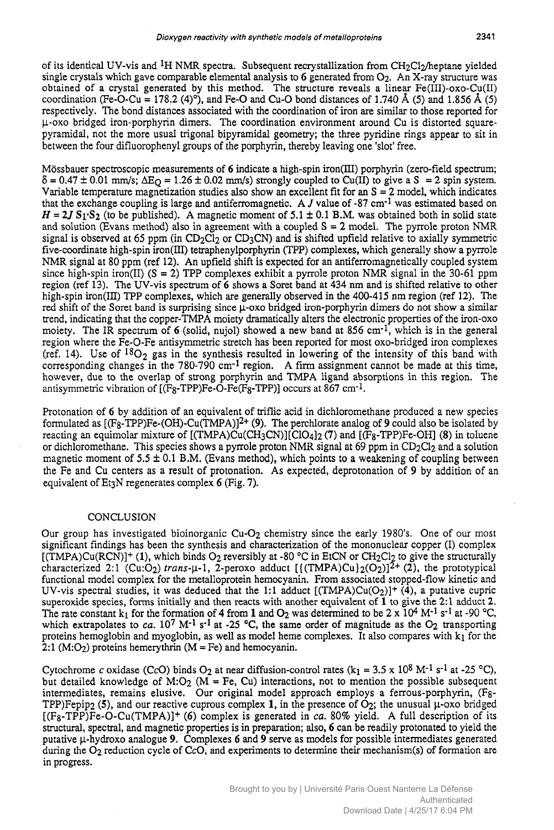of its identical UV-vis and <sup>1</sup>H NMR spectra. Subsequent recrystallization from CH<sub>2</sub>Cl<sub>2</sub>/heptane yielded single crystals which gave comparable elemental analysis to 6 generated from 02. An X-ray structure was obtained of a crystal generated by this method. The structure reveals a linear Fe(III)-oxo-Cu(II) coordination (Fe-O-Cu = 178.2 (4)°), and Fe-O and Cu-O bond distances of 1.740 Å (5) and 1.856 Å (5) Dioxygen reactivity with synthetic models of metalloproteins 2341<br>
of its identical UV-vis and <sup>1</sup>H NMR spectra. Subsequent recrystallization from CH<sub>2</sub>Cl<sub>2</sub>/heptane yielded<br>
single crystals which gave comparable elementa respectively. The bond distances associated with the coordination of iron are similar to those reported for p-0x0 bridged iron-porphyrin dimers. The coordination environment around Cu is distorted squarepyramidal, not the more usual trigonal bipyramidal geometry; the three pyridine rings appear to sit in between the four difluorophenyl groups of the porphyrin, thereby leaving one 'slot' free. **Example 1.120** of the bond distances associated with the coordination of iron are similar to those reported for  $\mu$ -oxo bridged iron-porphyrin dimers. The coordination environment around Cu is distorted square-<br>pyramid ne bond distances associated with the coordination of iron are similar to those reported for<br>iron-porphyrin dimers. The coordination environment around Cu is distorted square-<br>the more usual trigonal bipyramidal geometry; Fe-O and Cu-O bond distances of 1.740 Å (5) and 1.856 Å (5)<br>Fe-O and Cu-O bond distances of 1.740 Å (5) and 1.856 Å (5)<br>d with the coordination of iron are similar to those reported for<br>the coordination environment around system.<br> **z**<br> **zydia** *z***<br>** *zyaze-***<br>** *zo* **sit in<br>** *ectrum***;<br>** *zystem.***<br>
dicates** 

Mössbauer spectroscopic measurements of 6 indicate a high-spin iron(III) porphyrin (zero-field spectrum; Variable temperature magnetization studies also show an excellent fit for an  $S = 2$  model, which indicates 0.01 mm/s;  $\Delta E_Q = 1.26 \pm 0.02$  mm/s) strongly coupled to Cu(II) to give a S = 2 spin that the exchange coupling is large and antifenomagnetic. A *J* value of **-87** cm-1 was estimated based on  $H = 2J S_1 S_2$  (to be published). A magnetic moment of 5.1  $\pm$  0.1 B.M. was obtained both in solid state and solution (Evans method) also in agreement with a coupled  $S = 2$  model. The pyrrole proton NMR signal is observed at 65 ppm (in  $CD_2Cl_2$  or  $CD_3CN$ ) and is shifted upfield relative to axially symmetric five-coordinate high-spin iron(III) tetraphenylporphyrin (TPP) complexes, which generally show a pyrrole NMR signal at 80 ppm (ref 12). An upfield shift is expected for an antiferromagnetically coupled system since high-spin iron(II) ( $S = 2$ ) TPP complexes exhibit a pyrrole proton NMR signal in the 30-61 ppm region (ref 13). The UV-vis spectrum of *6* shows a Soret band at 434 nm and is shifted relative to other high-spin iron(1II) TPP complexes, which are generally observed in the 400-415 nm region (ref 12). The red shift of the Soret band is surprising since  $\mu$ -oxo bridged iron-porphyrin dimers do not show a similar trend, indicating that the copper-TMPA moiety dramatically alters the electronic properties of the iron-oxo moiety. The IR spectrum of *6* (solid, nujol) showed a new band at 856 cm-1, which is in the general region where the Fe-O-Fe antisymmetric stretch has been reported for most oxo-bridged iron complexes (ref. 14). Use of  $^{18}O_2$  gas in the synthesis resulted in lowering of the intensity of this band with corresponding changes in the 780-790 cm-1 region. A firm assignment cannot be made at this time, however, due to the overlap of strong porphyrin and TMPA ligand absorptions in this region. The antisymmetric vibration of **[(Fg-TPP)Fe-O-Fe(Fg-TPP)]** occurs at 867 cm-1.

Protonation of 6 by addition of an equivalent of triflic acid in dichloromethane produced a new species formulated as **[(Fg-TPP)Fe-(OH)-Cu(TMPA)J2+ (9).** The perchlorate analog of **9** could also be isolated by reacting an equimolar mixture of **[(TMPA)Cu(CH3CN)][C104]2 (7)** and [(Fg-TPP)Fe-OH] **(8)** in toluene or dichloromethane. This species shows a pyrrole proton NMR signal at 69 ppm in  $CD_2Cl_2$  and a solution magnetic moment of **5.5 i** 0.1 B.M. (Evans method), which points to **a** weakening of coupling between the Fe and Cu centers as a result of protonation. **As** expected, deprotonation of **9** by addition of an equivalent of Et3N regenerates complex **6** (Fig. 7).

#### **CONCLUSION**

Our group has investigated bioinorganic Cu-02 chemistry since the early 1980's. One of our most significant findings has been the synthesis and characterization of the mononuclear copper (I) complex  $[(\text{TMPA})Cu(\text{RCN})]+(1)$ , which binds O<sub>2</sub> reversibly at -80 °C in EtCN or CH<sub>2</sub>Cl<sub>2</sub> to give the structurally characterized 2:1 (Cu:O<sub>2</sub>) *trans*- $\mu$ -1, 2-peroxo adduct  $[(\text{TMPA})\text{Cu}\,2(\text{O}_2)]^2$ <sup>+</sup> (2), the prototypical functional model complex for the metalloprotein hemocyanin. From associated stopped-flow kinetic and UV-vis spectral studies, it was deduced that the 1:1 adduct  $[(TMPA)Cu(O<sub>2</sub>)]$ <sup>+</sup>  $(4)$ , a putative cupric superoxide species, forms initially and then reacts with another equivalent of **1** to give the **2:l** adduct **2.**  The rate constant k<sub>1</sub> for the formation of 4 from 1 and  $O_2$  was determined to be 2 x 10<sup>4</sup> M<sup>-1</sup> s<sup>-1</sup> at -90 °C, which extrapolates to  $ca. 10^7$  M<sup>-1</sup> s<sup>-1</sup> at -25 °C, the same order of magnitude as the  $O_2$  transporting proteins hemoglobin and myoglobin, as well as model heme complexes. It also compares with  $k_1$  for the 2:1 (M:O<sub>2</sub>) proteins hemerythrin ( $M = Fe$ ) and hemocyanin.

Cytochrome c oxidase (CcO) binds  $O_2$  at near diffusion-control rates ( $k_1 = 3.5 \times 10^8$  M<sup>-1</sup> s<sup>-1</sup> at -25 °C), but detailed knowledge of M:O<sub>2</sub> ( $M = Fe$ , Cu) interactions, not to mention the possible subsequent intermediates, remains elusive. Our original model approach employs a ferrous-porphyrin, (Fg-TPP)Fepip<sub>2</sub> (5), and our reactive cuprous complex 1, in the presence of  $O_2$ ; the unusual  $\mu$ -oxo bridged  $[(F_8-TPP)Fe-O-Cu(TMPA)]$ <sup>+</sup> (6) complex is generated in *ca*. 80% yield. A full description of its structural, spectral, and magnetic properties is in preparation; also, **6** can be readily protonated to yield the putative p-hydroxo analogue **9.** Complexes **6** and **9** serve as models for possible intermediates generated during the O<sub>2</sub> reduction cycle of CcO, and experiments to determine their mechanism(s) of formation are in progress.